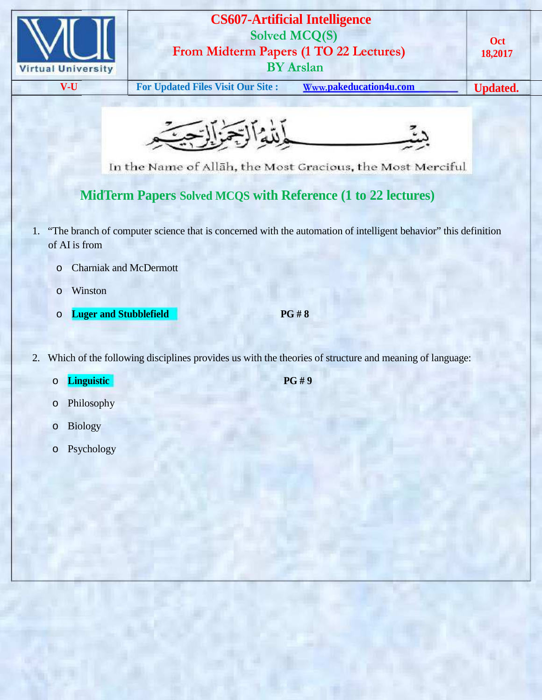

## **CS607-Artificial Intelligence Solved MCQ(S) From Midterm Papers (1 TO 22 Lectures) BY Arslan**

**V-U For Updated Files Visit Our Site : Www.pakeducation4u.com Updated.**



In the Name of Allah, the Most Gracious, the Most Merciful

## **MidTerm Papers Solved MCQS with Reference (1 to 22 lectures)**

- 1. "The branch of computer science that is concerned with the automation of intelligent behavior" this definition of AI is from
	- o Charniak and McDermott
	- o Winston
	- o **Luger and Stubblefield PG # 8**

- 2. Which of the following disciplines provides us with the theories of structure and meaning of language:
	- o **Linguistic PG # 9**
		-

- o Philosophy
- o Biology
- o Psychology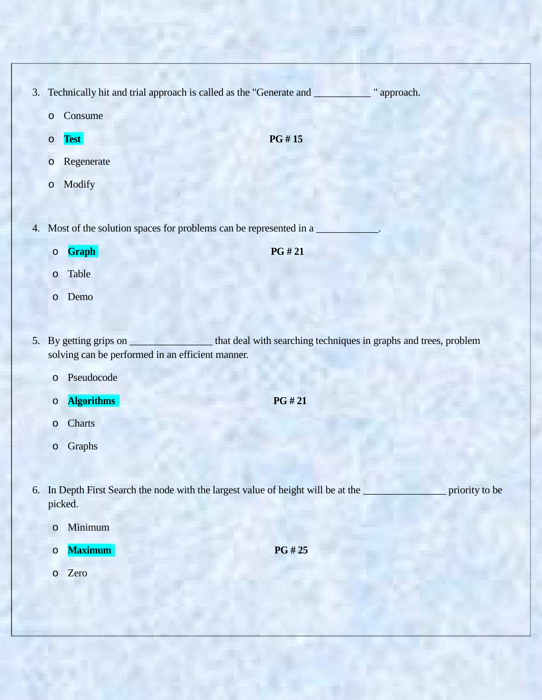- 3. Technically hit and trial approach is called as the "Generate and \_\_\_\_\_\_\_\_\_\_\_ " approach.
	- o Consume
	- o **Test PG # 15**

- o Regenerate
- o Modify
- 4. Most of the solution spaces for problems can be represented in a
	- o **Graph PG # 21**

- o Table
- o Demo
- 5. By getting grips on \_\_\_\_\_\_\_\_\_\_\_\_\_\_\_\_\_\_that deal with searching techniques in graphs and trees, problem solving can be performed in an efficient manner.
	- o Pseudocode
	- o **Algorithms PG # 21**
	- o Charts
	- o Graphs
- 6. In Depth First Search the node with the largest value of height will be at the \_\_\_\_\_\_\_\_\_\_\_\_\_\_\_\_ priority to be picked.
	- o Minimum
	- o **Maximum PG # 25**
	- o Zero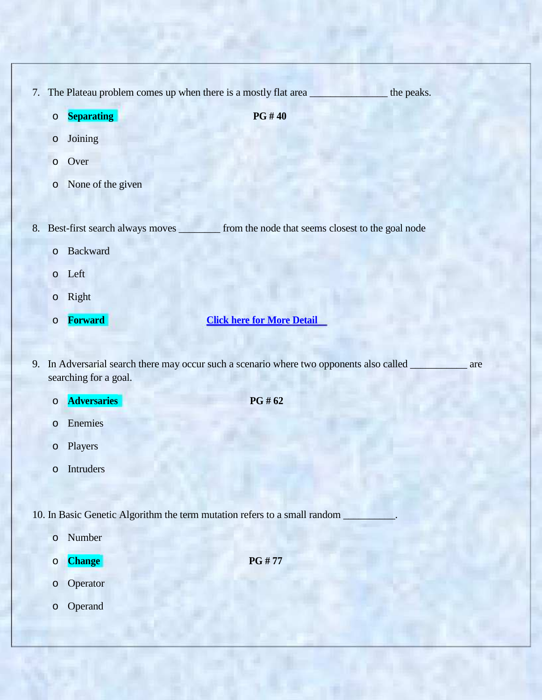7. The Plateau problem comes up when there is a mostly flat area \_\_\_\_\_\_\_\_\_\_\_\_\_\_\_\_ the peaks.

o **Separating PG # 40**

- o Joining
- o Over
- o None of the given

8. Best-first search always moves \_\_\_\_\_\_\_\_ from the node that seems closest to the goal node

- o Backward
- o Left
- o Right
- 

o **Forward Click here for More Detail**

9. In Adversarial search there may occur such a scenario where two opponents also called \_\_\_\_\_\_\_\_\_\_ are searching for a goal.

- o **Adversaries PG # 62**
- o Enemies
- o Players
- o Intruders

10. In Basic Genetic Algorithm the term mutation refers to a small random

- o Number
- o **Change PG # 77**
- o Operator
- o Operand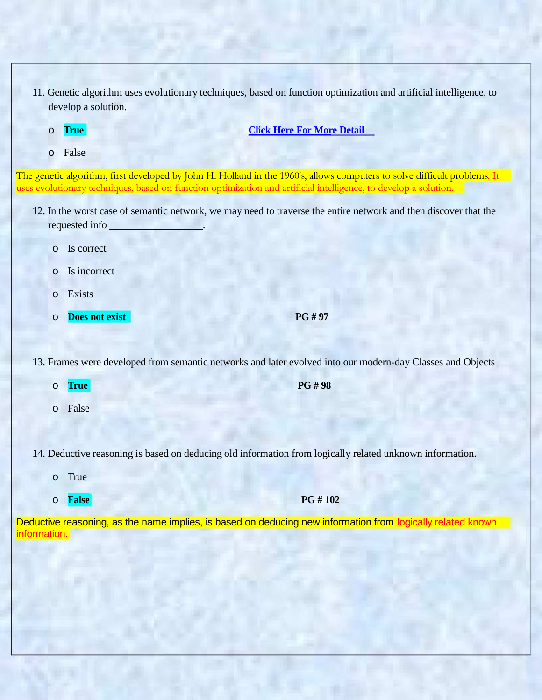- 11. Genetic algorithm uses evolutionary techniques, based on function optimization and artificial intelligence, to develop a solution.
	-

o **True Click Here For More Detail**

o False

The genetic algorithm, first developed by John H. Holland in the 1960's, allows computers to solve difficult problems. It uses evolutionary techniques, based on function optimization and artificial intelligence, to develop a solution.

- 12. In the worst case of semantic network, we may need to traverse the entire network and then discover that the requested info \_\_\_\_\_\_\_\_\_\_\_\_\_\_\_\_\_\_.
	- o Is correct
	- o Is incorrect
	- o Exists
	- o **Does not exist PG # 97**

13. Frames were developed from semantic networks and later evolved into our modern-day Classes and Objects

- o **True PG # 98**
- o False

14. Deductive reasoning is based on deducing old information from logically related unknown information.

- o True
- o **False PG # 102**

Deductive reasoning, as the name implies, is based on deducing new information from logically related known information.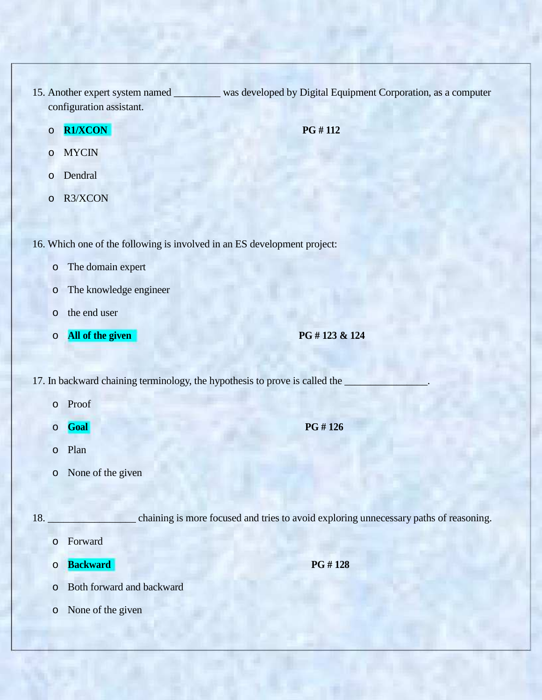- 15. Another expert system named \_\_\_\_\_\_\_\_\_ was developed by Digital Equipment Corporation, as a computer configuration assistant.
	- o **R1/XCON PG # 112**

- o MYCIN
- o Dendral
- o R3/XCON

16. Which one of the following is involved in an ES development project:

- o The domain expert
- o The knowledge engineer
- o the end user
- o **All of the given PG # 123 & 124**

17. In backward chaining terminology, the hypothesis to prove is called the

- o Proof
- o **Goal PG # 126**
- o Plan
- o None of the given

18. **\_\_\_\_\_\_\_\_\_\_\_\_\_\_\_\_** chaining is more focused and tries to avoid exploring unnecessary paths of reasoning.

- o Forward
- o **Backward PG # 128**

- o Both forward and backward
- o None of the given